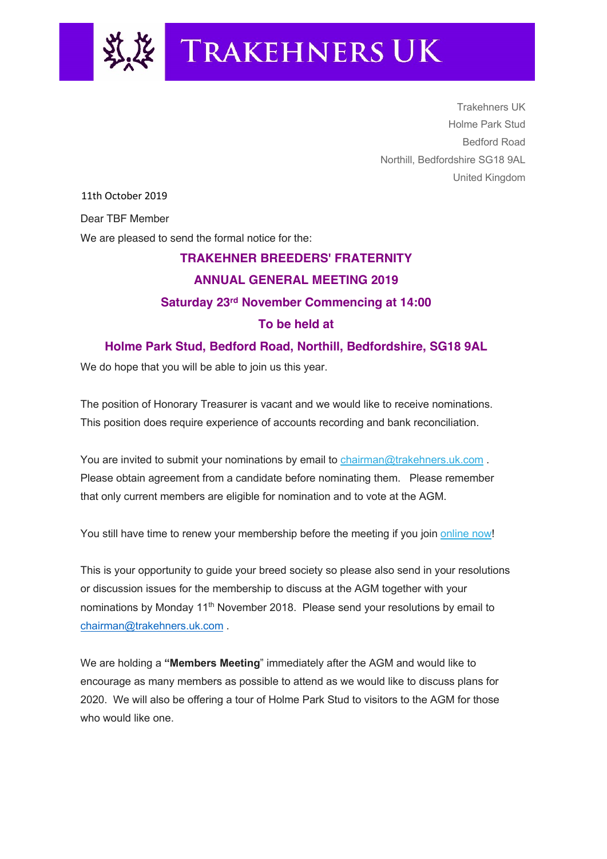

Trakehners UK Holme Park Stud Bedford Road Northill, Bedfordshire SG18 9AL United Kingdom

11th October 2019

Dear TBF Member

We are pleased to send the formal notice for the:

## **TRAKEHNER BREEDERS' FRATERNITY ANNUAL GENERAL MEETING 2019 Saturday 23rd November Commencing at 14:00 To be held at Holme Park Stud, Bedford Road, Northill, Bedfordshire, SG18 9AL**

We do hope that you will be able to join us this year.

The position of Honorary Treasurer is vacant and we would like to receive nominations. This position does require experience of accounts recording and bank reconciliation.

You are invited to submit your nominations by email to chairman@trakehners.uk.com. Please obtain agreement from a candidate before nominating them. Please remember that only current members are eligible for nomination and to vote at the AGM.

You still have time to renew your membership before the meeting if you join online now!

This is your opportunity to guide your breed society so please also send in your resolutions or discussion issues for the membership to discuss at the AGM together with your nominations by Monday 11<sup>th</sup> November 2018. Please send your resolutions by email to chairman@trakehners.uk.com .

We are holding a **"Members Meeting**" immediately after the AGM and would like to encourage as many members as possible to attend as we would like to discuss plans for 2020. We will also be offering a tour of Holme Park Stud to visitors to the AGM for those who would like one.